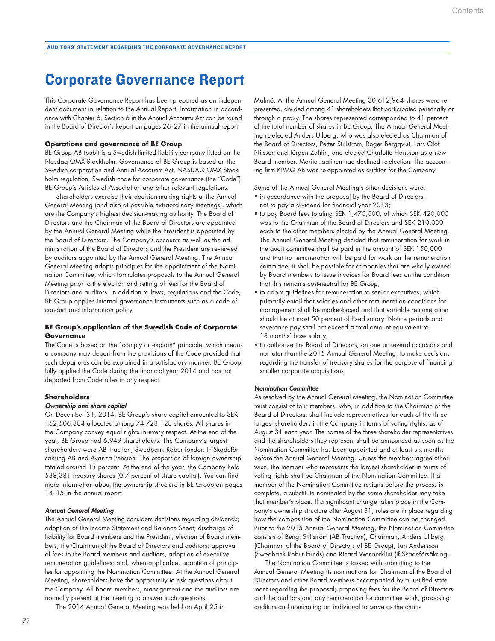# Corporate Governance Report

This Corporate Governance Report has been prepared as an independent document in relation to the Annual Report. Information in accordance with Chapter 6, Section 6 in the Annual Accounts Act can be found in the Board of Director's Report on pages 26–27 in the annual report.

# **Operations and governance of BE Group**

BE Group AB (publ) is a Swedish limited liability company listed on the Nasdaq OMX Stockholm. Governance of BE Group is based on the Swedish corporation and Annual Accounts Act, NASDAQ OMX Stockholm regulation, Swedish code for corporate governance (the "Code"), BE Group's Articles of Association and other relevant regulations.

Shareholders exercise their decision-making rights at the Annual General Meeting (and also at possible extraordinary meetings), which are the Company's highest decision-making authority. The Board of Directors and the Chairman of the Board of Directors are appointed by the Annual General Meeting while the President is appointed by the Board of Directors. The Company's accounts as well as the administration of the Board of Directors and the President are reviewed by auditors appointed by the Annual General Meeting. The Annual General Meeting adopts principles for the appointment of the Nomination Committee, which formulates proposals to the Annual General Meeting prior to the election and setting of fees for the Board of Directors and auditors. In addition to laws, regulations and the Code, BE Group applies internal governance instruments such as a code of conduct and information policy.

## **BE Group's application of the Swedish Code of Corporate Governance**

The Code is based on the "comply or explain" principle, which means a company may depart from the provisions of the Code provided that such departures can be explained in a satisfactory manner. BE Group fully applied the Code during the financial year 2014 and has not departed from Code rules in any respect.

## **Shareholders**

#### *Ownership and share capital*

On December 31, 2014, BE Group's share capital amounted to SEK 152,506,384 allocated among 74,728,128 shares. All shares in the Company convey equal rights in every respect. At the end of the year, BE Group had 6,949 shareholders. The Company's largest shareholders were AB Traction, Swedbank Robur fonder, IF Skadeförsäkring AB and Avanza Pension. The proportion of foreign ownership totaled around 13 percent. At the end of the year, the Company held 538,381 treasury shares (0.7 percent of share capital). You can find more information about the ownership structure in BE Group on pages 14–15 in the annual report.

## *Annual General Meeting*

The Annual General Meeting considers decisions regarding dividends; adoption of the Income Statement and Balance Sheet; discharge of liability for Board members and the President; election of Board members, the Chairman of the Board of Directors and auditors; approval of fees to the Board members and auditors, adoption of executive remuneration guidelines; and, when applicable, adoption of principles for appointing the Nomination Committee. At the Annual General Meeting, shareholders have the opportunity to ask questions about the Company. All Board members, management and the auditors are normally present at the meeting to answer such questions.

The 2014 Annual General Meeting was held on April 25 in

Malmö. At the Annual General Meeting 30,612,964 shares were represented, divided among 41 shareholders that participated personally or through a proxy. The shares represented corresponded to 41 percent of the total number of shares in BE Group. The Annual General Meeting re-elected Anders Ullberg, who was also elected as Chairman of the Board of Directors, Petter Stillström, Roger Bergqvist, Lars Olof Nilsson and Jörgen Zahlin, and elected Charlotte Hansson as a new Board member. Marita Jaatinen had declined re-election. The accounting firm KPMG AB was re-appointed as auditor for the Company.

Some of the Annual General Meeting's other decisions were:

- in accordance with the proposal by the Board of Directors, not to pay a dividend for financial year 2013;
- to pay Board fees totaling SEK 1,470,000, of which SEK 420,000 was to the Chairman of the Board of Directors and SEK 210,000 each to the other members elected by the Annual General Meeting. The Annual General Meeting decided that remuneration for work in the audit committee shall be paid in the amount of SEK 150,000 and that no remuneration will be paid for work on the remuneration committee. It shall be possible for companies that are wholly owned by Board members to issue invoices for Board fees on the condition that this remains cost-neutral for BE Group;
- to adopt guidelines for remuneration to senior executives, which primarily entail that salaries and other remuneration conditions for management shall be market-based and that variable remuneration should be at most 50 percent of fixed salary. Notice periods and severance pay shall not exceed a total amount equivalent to 18 months' base salary;
- to authorize the Board of Directors, on one or several occasions and not later than the 2015 Annual General Meeting, to make decisions regarding the transfer of treasury shares for the purpose of financing smaller corporate acquisitions.

#### *Nomination Committee*

As resolved by the Annual General Meeting, the Nomination Committee must consist of four members, who, in addition to the Chairman of the Board of Directors, shall include representatives for each of the three largest shareholders in the Company in terms of voting rights, as of August 31 each year. The names of the three shareholder representatives and the shareholders they represent shall be announced as soon as the Nomination Committee has been appointed and at least six months before the Annual General Meeting. Unless the members agree otherwise, the member who represents the largest shareholder in terms of voting rights shall be Chairman of the Nomination Committee. If a member of the Nomination Committee resigns before the process is complete, a substitute nominated by the same shareholder may take that member's place. If a significant change takes place in the Company's ownership structure after August 31, rules are in place regarding how the composition of the Nomination Committee can be changed. Prior to the 2015 Annual General Meeting, the Nomination Committee consists of Bengt Stillström (AB Traction), Chairman, Anders Ullberg, (Chairman of the Board of Directors of BE Group), Jan Andersson (Swedbank Robur Funds) and Ricard Wennerklint (If Skadeförsäkring).

The Nomination Committee is tasked with submitting to the Annual General Meeting its nominations for Chairman of the Board of Directors and other Board members accompanied by a justified statement regarding the proposal; proposing fees for the Board of Directors and the auditors and any remuneration for committee work, proposing auditors and nominating an individual to serve as the chair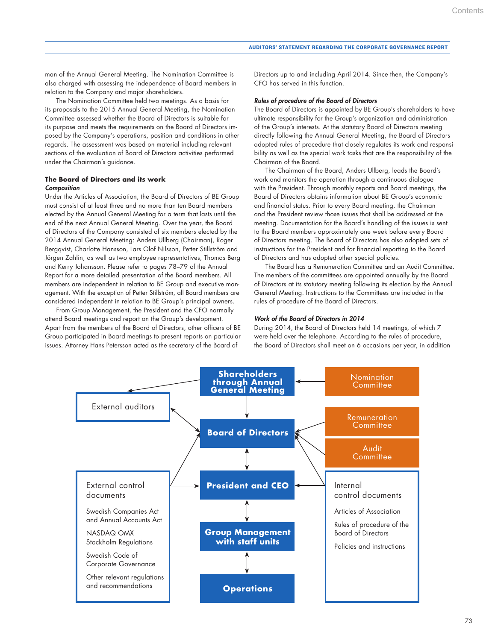man of the Annual General Meeting. The Nomination Committee is also charged with assessing the independence of Board members in relation to the Company and major shareholders.

The Nomination Committee held two meetings. As a basis for its proposals to the 2015 Annual General Meeting, the Nomination Committee assessed whether the Board of Directors is suitable for its purpose and meets the requirements on the Board of Directors imposed by the Company's operations, position and conditions in other regards. The assessment was based on material including relevant sections of the evaluation of Board of Directors activities performed under the Chairman's guidance.

# **The Board of Directors and its work** *Composition*

Under the Articles of Association, the Board of Directors of BE Group must consist of at least three and no more than ten Board members elected by the Annual General Meeting for a term that lasts until the end of the next Annual General Meeting. Over the year, the Board of Directors of the Company consisted of six members elected by the 2014 Annual General Meeting: Anders Ullberg (Chairman), Roger Bergqvist, Charlotte Hansson, Lars Olof Nilsson, Petter Stillström and Jörgen Zahlin, as well as two employee representatives, Thomas Berg and Kerry Johansson. Please refer to pages 78–79 of the Annual Report for a more detailed presentation of the Board members. All members are independent in relation to BE Group and executive management. With the exception of Petter Stillström, all Board members are considered independent in relation to BE Group's principal owners.

From Group Management, the President and the CFO normally attend Board meetings and report on the Group's development. Apart from the members of the Board of Directors, other officers of BE Group participated in Board meetings to present reports on particular issues. Attorney Hans Petersson acted as the secretary of the Board of

Directors up to and including April 2014. Since then, the Company's CFO has served in this function.

## *Rules of procedure of the Board of Directors*

The Board of Directors is appointed by BE Group's shareholders to have ultimate responsibility for the Group's organization and administration of the Group's interests. At the statutory Board of Directors meeting directly following the Annual General Meeting, the Board of Directors adopted rules of procedure that closely regulates its work and responsibility as well as the special work tasks that are the responsibility of the Chairman of the Board.

The Chairman of the Board, Anders Ullberg, leads the Board's work and monitors the operation through a continuous dialogue with the President. Through monthly reports and Board meetings, the Board of Directors obtains information about BE Group's economic and financial status. Prior to every Board meeting, the Chairman and the President review those issues that shall be addressed at the meeting. Documentation for the Board's handling of the issues is sent to the Board members approximately one week before every Board of Directors meeting. The Board of Directors has also adopted sets of instructions for the President and for financial reporting to the Board of Directors and has adopted other special policies.

The Board has a Remuneration Committee and an Audit Committee. The members of the committees are appointed annually by the Board of Directors at its statutory meeting following its election by the Annual General Meeting. Instructions to the Committees are included in the rules of procedure of the Board of Directors.

## *Work of the Board of Directors in 2014*

During 2014, the Board of Directors held 14 meetings, of which 7 were held over the telephone. According to the rules of procedure, the Board of Directors shall meet on 6 occasions per year, in addition

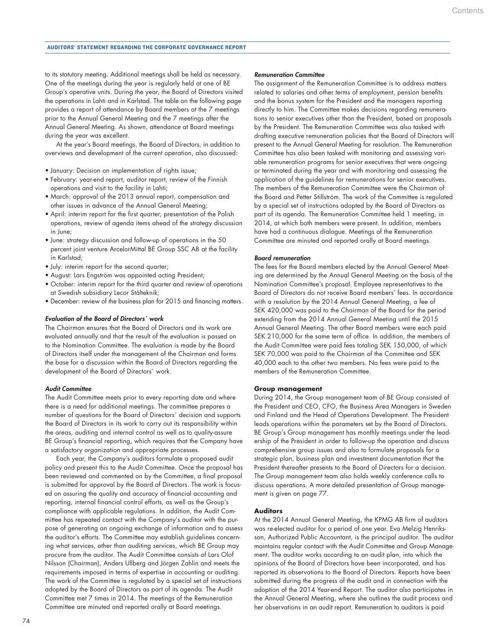## AUDITORS' STATEMENT REGARDING THE CORPORATE GOVERNANCE REPORT

to its statutory meeting. Additional meetings shall be held as necessary. One of the meetings during the year is regularly held at one of BE Group's operative units. During the year, the Board of Directors visited the operations in Lahti and in Karlstad. The table on the following page provides a report of attendance by Board members at the 7 meetings prior to the Annual General Meeting and the 7 meetings after the Annual General Meeting. As shown, attendance at Board meetings during the year was excellent.

At the year's Board meetings, the Board of Directors, in addition to overviews and development of the current operation, also discussed:

- January: Decision on implementation of rights issue;
- February: year-end report, auditor report, review of the Finnish operations and visit to the facility in Lahti;
- March: approval of the 2013 annual report, compensation and other issues in advance of the Annual General Meeting;
- April: interim report for the first quarter, presentation of the Polish operations, review of agenda items ahead of the strategy discussion in June;
- June: strategy discussion and follow-up of operations in the 50 percent joint venture ArcelorMittal BE Group SSC AB at the facility in Karlstad;
- July: interim report for the second quarter;
- August: Lars Engström was appointed acting President;
- October: interim report for the third quarter and review of operations at Swedish subsidiary Lecor Stålteknik;
- December: review of the business plan for 2015 and financing matters.

# *Evaluation of the Board of Directors´ work*

The Chairman ensures that the Board of Directors and its work are evaluated annually and that the result of the evaluation is passed on to the Nomination Committee. The evaluation is made by the Board of Directors itself under the management of the Chairman and forms the base for a discussion within the Board of Directors regarding the development of the Board of Directors´ work.

# *Audit Committee*

The Audit Committee meets prior to every reporting date and where there is a need for additional meetings. The committee prepares a number of questions for the Board of Directors´ decision and supports the Board of Directors in its work to carry out its responsibility within the areas, auditing and internal control as well as to quality-assure BE Group's financial reporting, which requires that the Company have a satisfactory organization and appropriate processes.

Each year, the Company's auditors formulate a proposed audit policy and present this to the Audit Committee. Once the proposal has been reviewed and commented on by the Committee, a final proposal is submitted for approval by the Board of Directors. The work is focused on assuring the quality and accuracy of financial accounting and reporting, internal financial control efforts, as well as the Group's compliance with applicable regulations. In addition, the Audit Committee has repeated contact with the Company's auditor with the purpose of generating an ongoing exchange of information and to assess the auditor's efforts. The Committee may establish guidelines concerning what services, other than auditing services, which BE Group may procure from the auditor. The Audit Committee consists of Lars Olof Nilsson (Chairman), Anders Ullberg and Jörgen Zahlin and meets the requirements imposed in terms of expertise in accounting or auditing. The work of the Committee is regulated by a special set of instructions adopted by the Board of Directors as part of its agenda. The Audit Committee met 7 times in 2014. The meetings of the Remuneration Committee are minuted and reported orally at Board meetings.

# *Remuneration Committee*

The assignment of the Remuneration Committee is to address matters related to salaries and other terms of employment, pension benefits and the bonus system for the President and the managers reporting directly to him. The Committee makes decisions regarding remunerations to senior executives other than the President, based on proposals by the President. The Remuneration Committee was also tasked with drafting executive remuneration policies that the Board of Directors will present to the Annual General Meeting for resolution. The Remuneration Committee has also been tasked with monitoring and assessing variable remuneration programs for senior executives that were ongoing or terminated during the year and with monitoring and assessing the application of the guidelines for remunerations for senior executives. The members of the Remuneration Committee were the Chairman of the Board and Petter Stillström. The work of the Committee is regulated by a special set of instructions adopted by the Board of Directors as part of its agenda. The Remuneration Committee held 1 meeting, in 2014, at which both members were present. In addition, members have had a continuous dialogue. Meetings of the Remuneration Committee are minuted and reported orally at Board meetings.

## *Board remuneration*

The fees for the Board members elected by the Annual General Meeting are determined by the Annual General Meeting on the basis of the Nomination Committee's proposal. Employee representatives to the Board of Directors do not receive Board members' fees. In accordance with a resolution by the 2014 Annual General Meeting, a fee of SEK 420,000 was paid to the Chairman of the Board for the period extending from the 2014 Annual General Meeting until the 2015 Annual General Meeting. The other Board members were each paid SEK 210,000 for the same term of office. In addition, the members of the Audit Committee were paid fees totaling SEK 150,000, of which SEK 70,000 was paid to the Chairman of the Committee and SEK 40,000 each to the other two members. No fees were paid to the members of the Remuneration Committee.

# **Group management**

During 2014, the Group management team of BE Group consisted of the President and CEO, CFO, the Business Area Managers in Sweden and Finland and the Head of Operations Development. The President leads operations within the parameters set by the Board of Directors. BE Group's Group management has monthly meetings under the leadership of the President in order to follow-up the operation and discuss comprehensive group issues and also to formulate proposals for a strategic plan, business plan and investment documentation that the President thereafter presents to the Board of Directors for a decision. The Group management team also holds weekly conference calls to discuss operations. A more detailed presentation of Group management is given on page 77.

#### **Auditors**

At the 2014 Annual General Meeting, the KPMG AB firm of auditors was re-elected auditor for a period of one year. Eva Melzig Henriksson, Authorized Public Accountant, is the principal auditor. The auditor maintains regular contact with the Audit Committee and Group Management. The auditor works according to an audit plan, into which the opinions of the Board of Directors have been incorporated, and has reported its observations to the Board of Directors. Reports have been submitted during the progress of the audit and in connection with the adoption of the 2014 Year-end Report. The auditor also participates in the Annual General Meeting, where she outlines the audit process and her observations in an audit report. Remuneration to auditors is paid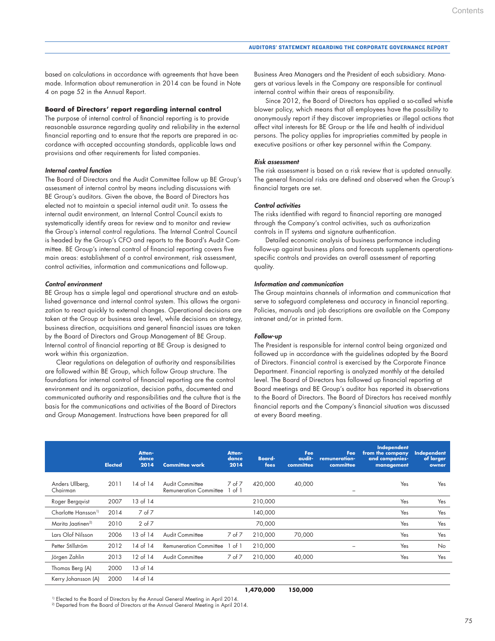based on calculations in accordance with agreements that have been made. Information about remuneration in 2014 can be found in Note 4 on page 52 in the Annual Report.

## **Board of Directors' report regarding internal control**

The purpose of internal control of financial reporting is to provide reasonable assurance regarding quality and reliability in the external financial reporting and to ensure that the reports are prepared in accordance with accepted accounting standards, applicable laws and provisions and other requirements for listed companies.

#### *Internal control function*

The Board of Directors and the Audit Committee follow up BE Group's assessment of internal control by means including discussions with BE Group's auditors. Given the above, the Board of Directors has elected not to maintain a special internal audit unit. To assess the internal audit environment, an Internal Control Council exists to systematically identify areas for review and to monitor and review the Group's internal control regulations. The Internal Control Council is headed by the Group's CFO and reports to the Board's Audit Committee. BE Group's internal control of financial reporting covers five main areas: establishment of a control environment, risk assessment, control activities, information and communications and follow-up.

#### *Control environment*

BE Group has a simple legal and operational structure and an established governance and internal control system. This allows the organization to react quickly to external changes. Operational decisions are taken at the Group or business area level, while decisions on strategy, business direction, acquisitions and general financial issues are taken by the Board of Directors and Group Management of BE Group. Internal control of financial reporting at BE Group is designed to work within this organization.

Clear regulations on delegation of authority and responsibilities are followed within BE Group, which follow Group structure. The foundations for internal control of financial reporting are the control environment and its organization, decision paths, documented and communicated authority and responsibilities and the culture that is the basis for the communications and activities of the Board of Directors and Group Management. Instructions have been prepared for all

Business Area Managers and the President of each subsidiary. Managers at various levels in the Company are responsible for continual internal control within their areas of responsibility.

Since 2012, the Board of Directors has applied a so-called whistle blower policy, which means that all employees have the possibility to anonymously report if they discover improprieties or illegal actions that affect vital interests for BE Group or the life and health of individual persons. The policy applies for improprieties committed by people in executive positions or other key personnel within the Company.

## *Risk assessment*

The risk assessment is based on a risk review that is updated annually. The general financial risks are defined and observed when the Group's financial targets are set.

## *Control activities*

The risks identified with regard to financial reporting are managed through the Company's control activities, such as authorization controls in IT systems and signature authentication.

Detailed economic analysis of business performance including follow-up against business plans and forecasts supplements operationsspecific controls and provides an overall assessment of reporting quality.

## *Information and communication*

The Group maintains channels of information and communication that serve to safeguard completeness and accuracy in financial reporting. Policies, manuals and job descriptions are available on the Company intranet and/or in printed form.

## *Follow-up*

The President is responsible for internal control being organized and followed up in accordance with the guidelines adopted by the Board of Directors. Financial control is exercised by the Corporate Finance Department. Financial reporting is analyzed monthly at the detailed level. The Board of Directors has followed up financial reporting at Board meetings and BE Group's auditor has reported its observations to the Board of Directors. The Board of Directors has received monthly financial reports and the Company's financial situation was discussed at every Board meeting.

|                                 | <b>Elected</b> | Atten-<br>dance.<br>2014 | <b>Committee work</b>                            | Atten-<br>dance<br>2014 | <b>Board-</b><br>fees | Fee<br>audit-<br>committee | Fee<br>remuneration-<br>committee | Independent<br>from the company<br>and companies-<br>management | Independent<br>of larger<br>owner |
|---------------------------------|----------------|--------------------------|--------------------------------------------------|-------------------------|-----------------------|----------------------------|-----------------------------------|-----------------------------------------------------------------|-----------------------------------|
| Anders Ullberg,<br>Chairman     | 2011           | 14 of 14                 | Audit Committee<br><b>Remuneration Committee</b> | $7$ of $7$<br>of 1      | 420,000               | 40,000                     |                                   | Yes                                                             | Yes                               |
| Roger Bergqvist                 | 2007           | 13 of 14                 |                                                  |                         | 210,000               |                            |                                   | Yes                                                             | Yes                               |
| Charlotte Hansson <sup>1)</sup> | 2014           | 7 of 7                   |                                                  |                         | 140,000               |                            |                                   | Yes                                                             | Yes                               |
| Marita Jaatinen <sup>2)</sup>   | 2010           | $2$ of $7$               |                                                  |                         | 70,000                |                            |                                   | Yes                                                             | Yes                               |
| Lars Olof Nilsson               | 2006           | 13 of 14                 | Audit Committee                                  | 7 of 7                  | 210,000               | 70,000                     |                                   | Yes                                                             | Yes                               |
| Petter Stillström               | 2012           | 14 of 14                 | <b>Remuneration Committee</b>                    | of 1                    | 210,000               |                            | $\overline{\phantom{0}}$          | Yes                                                             | <b>No</b>                         |
| Jörgen Zahlin                   | 2013           | 12 of 14                 | Audit Committee                                  | $7$ of $7$              | 210,000               | 40,000                     |                                   | Yes                                                             | Yes                               |
| Thomas Berg (A)                 | 2000           | 13 of 14                 |                                                  |                         |                       |                            |                                   |                                                                 |                                   |
| Kerry Johansson (A)             | 2000           | 14 of 14                 |                                                  |                         |                       |                            |                                   |                                                                 |                                   |
|                                 |                |                          |                                                  |                         |                       |                            |                                   |                                                                 |                                   |

<sup>1)</sup> Elected to the Board of Directors by the Annual General Meeting in April 2014.<br><sup>2)</sup> Departed from the Board of Directors at the Annual General Meeting in April 2014.